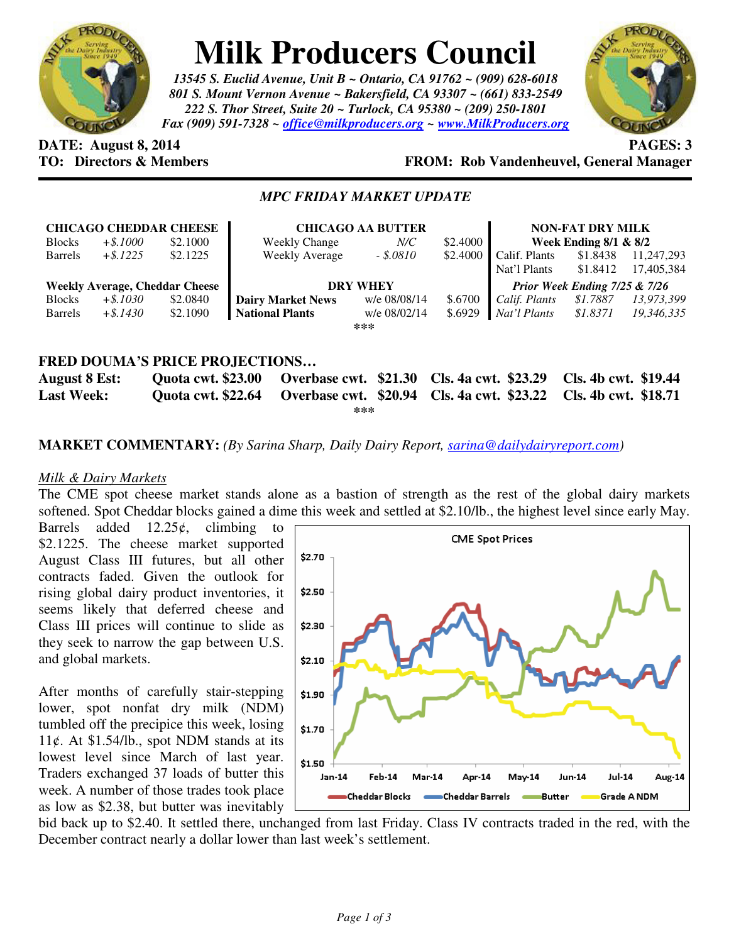

# **Milk Producers Council**

*13545 S. Euclid Avenue, Unit B ~ Ontario, CA 91762 ~ (909) 628-6018 801 S. Mount Vernon Avenue ~ Bakersfield, CA 93307 ~ (661) 833-2549 222 S. Thor Street, Suite 20 ~ Turlock, CA 95380 ~ (209) 250-1801 Fax (909) 591-7328 ~ office@milkproducers.org ~ www.MilkProducers.org*



# **DATE:** August 8, 2014 **PAGES:** 3

## **TO: Directors & Members FROM: Rob Vandenheuvel, General Manager**

### *MPC FRIDAY MARKET UPDATE*

| <b>CHICAGO CHEDDAR CHEESE</b>         |             |          | <b>CHICAGO AA BUTTER</b> |              |          | <b>NON-FAT DRY MILK</b>       |          |            |
|---------------------------------------|-------------|----------|--------------------------|--------------|----------|-------------------------------|----------|------------|
| <b>Blocks</b>                         | $+$ \$.1000 | \$2.1000 | Weekly Change            | $N\!/\!C$    | \$2,4000 | Week Ending $8/1$ & $8/2$     |          |            |
| <b>Barrels</b>                        | $+$ \$.1225 | \$2.1225 | Weekly Average           | $-.5.0810$   | \$2.4000 | Calif. Plants                 | \$1.8438 | 11,247,293 |
|                                       |             |          |                          |              |          | Nat'l Plants                  | \$1.8412 | 17,405,384 |
| <b>Weekly Average, Cheddar Cheese</b> |             |          | <b>DRY WHEY</b>          |              |          | Prior Week Ending 7/25 & 7/26 |          |            |
| <b>Blocks</b>                         | $+$ \$.1030 | \$2.0840 | <b>Dairy Market News</b> | w/e 08/08/14 | \$.6700  | Calif. Plants                 | \$1.7887 | 13,973,399 |
| <b>Barrels</b>                        | $+$ \$.1430 | \$2.1090 | <b>National Plants</b>   | w/e 08/02/14 | \$.6929  | Nat'l Plants                  | \$1.8371 | 19,346,335 |
| $***$                                 |             |          |                          |              |          |                               |          |            |
|                                       |             |          |                          |              |          |                               |          |            |
| FRED DOUMA'S PRICE PROJECTIONS        |             |          |                          |              |          |                               |          |            |

#### **August 8 Est: Quota cwt. \$23.00 Overbase cwt. \$21.30 Cls. 4a cwt. \$23.29 Cls. 4b cwt. \$19.44 Last Week: Quota cwt. \$22.64 Overbase cwt. \$20.94 Cls. 4a cwt. \$23.22 Cls. 4b cwt. \$18.71 \*\*\***

#### **MARKET COMMENTARY:** *(By Sarina Sharp, Daily Dairy Report, sarina@dailydairyreport.com)*

#### *Milk & Dairy Markets*

The CME spot cheese market stands alone as a bastion of strength as the rest of the global dairy markets softened. Spot Cheddar blocks gained a dime this week and settled at \$2.10/lb., the highest level since early May.

Barrels added  $12.25¢$ , climbing to \$2.1225. The cheese market supported August Class III futures, but all other contracts faded. Given the outlook for rising global dairy product inventories, it seems likely that deferred cheese and Class III prices will continue to slide as they seek to narrow the gap between U.S. and global markets.

After months of carefully stair-stepping lower, spot nonfat dry milk (NDM) tumbled off the precipice this week, losing 11¢. At  $$1.54/lb$ ., spot NDM stands at its lowest level since March of last year. Traders exchanged 37 loads of butter this week. A number of those trades took place as low as \$2.38, but butter was inevitably



bid back up to \$2.40. It settled there, unchanged from last Friday. Class IV contracts traded in the red, with the December contract nearly a dollar lower than last week's settlement.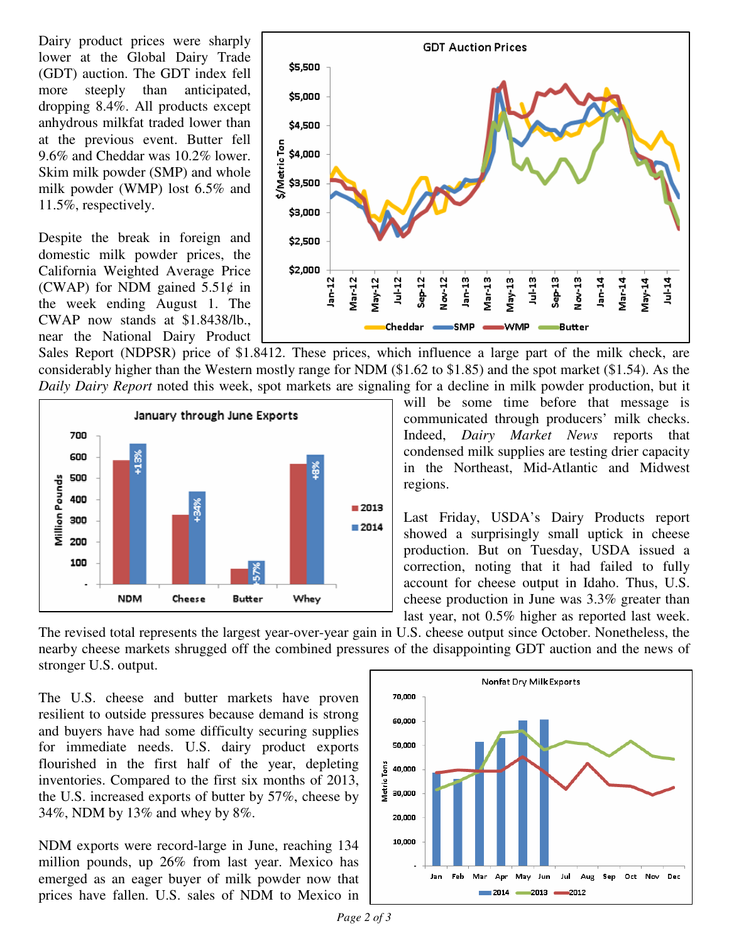Dairy product prices were sharply lower at the Global Dairy Trade (GDT) auction. The GDT index fell more steeply than anticipated, dropping 8.4%. All products except anhydrous milkfat traded lower than at the previous event. Butter fell 9.6% and Cheddar was 10.2% lower. Skim milk powder (SMP) and whole milk powder (WMP) lost 6.5% and 11.5%, respectively.

Despite the break in foreign and domestic milk powder prices, the California Weighted Average Price (CWAP) for NDM gained  $5.51¢$  in the week ending August 1. The CWAP now stands at \$1.8438/lb., near the National Dairy Product



Sales Report (NDPSR) price of \$1.8412. These prices, which influence a large part of the milk check, are considerably higher than the Western mostly range for NDM (\$1.62 to \$1.85) and the spot market (\$1.54). As the *Daily Dairy Report* noted this week, spot markets are signaling for a decline in milk powder production, but it



will be some time before that message is communicated through producers' milk checks. Indeed, *Dairy Market News* reports that condensed milk supplies are testing drier capacity in the Northeast, Mid-Atlantic and Midwest regions.

Last Friday, USDA's Dairy Products report showed a surprisingly small uptick in cheese production. But on Tuesday, USDA issued a correction, noting that it had failed to fully account for cheese output in Idaho. Thus, U.S. cheese production in June was 3.3% greater than last year, not 0.5% higher as reported last week.

The revised total represents the largest year-over-year gain in U.S. cheese output since October. Nonetheless, the nearby cheese markets shrugged off the combined pressures of the disappointing GDT auction and the news of stronger U.S. output.

The U.S. cheese and butter markets have proven resilient to outside pressures because demand is strong and buyers have had some difficulty securing supplies for immediate needs. U.S. dairy product exports flourished in the first half of the year, depleting inventories. Compared to the first six months of 2013, the U.S. increased exports of butter by 57%, cheese by 34%, NDM by 13% and whey by 8%.

NDM exports were record-large in June, reaching 134 million pounds, up 26% from last year. Mexico has emerged as an eager buyer of milk powder now that prices have fallen. U.S. sales of NDM to Mexico in